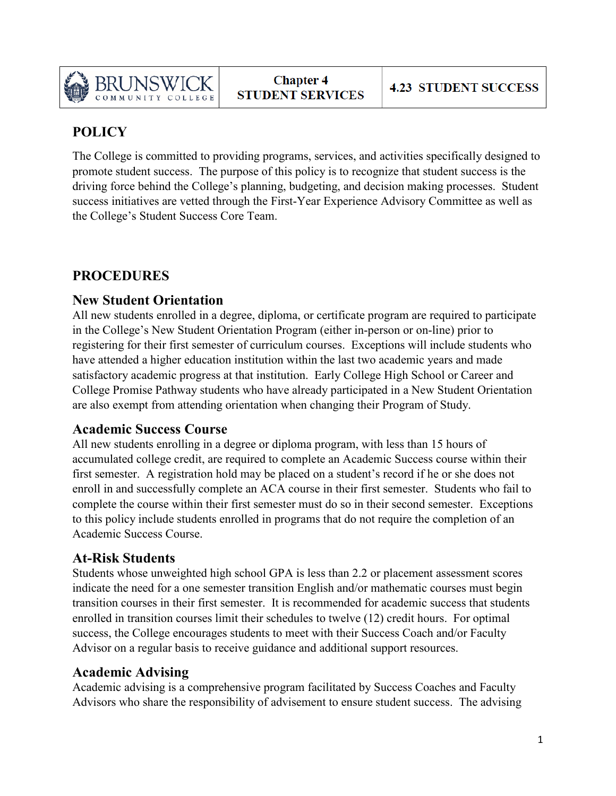

# **POLICY**

The College is committed to providing programs, services, and activities specifically designed to promote student success. The purpose of this policy is to recognize that student success is the driving force behind the College's planning, budgeting, and decision making processes. Student success initiatives are vetted through the First-Year Experience Advisory Committee as well as the College's Student Success Core Team.

## **PROCEDURES**

#### **New Student Orientation**

All new students enrolled in a degree, diploma, or certificate program are required to participate in the College's New Student Orientation Program (either in-person or on-line) prior to registering for their first semester of curriculum courses. Exceptions will include students who have attended a higher education institution within the last two academic years and made satisfactory academic progress at that institution. Early College High School or Career and College Promise Pathway students who have already participated in a New Student Orientation are also exempt from attending orientation when changing their Program of Study.

## **Academic Success Course**

All new students enrolling in a degree or diploma program, with less than 15 hours of accumulated college credit, are required to complete an Academic Success course within their first semester. A registration hold may be placed on a student's record if he or she does not enroll in and successfully complete an ACA course in their first semester. Students who fail to complete the course within their first semester must do so in their second semester. Exceptions to this policy include students enrolled in programs that do not require the completion of an Academic Success Course.

## **At-Risk Students**

Students whose unweighted high school GPA is less than 2.2 or placement assessment scores indicate the need for a one semester transition English and/or mathematic courses must begin transition courses in their first semester. It is recommended for academic success that students enrolled in transition courses limit their schedules to twelve (12) credit hours. For optimal success, the College encourages students to meet with their Success Coach and/or Faculty Advisor on a regular basis to receive guidance and additional support resources.

## **Academic Advising**

Academic advising is a comprehensive program facilitated by Success Coaches and Faculty Advisors who share the responsibility of advisement to ensure student success. The advising